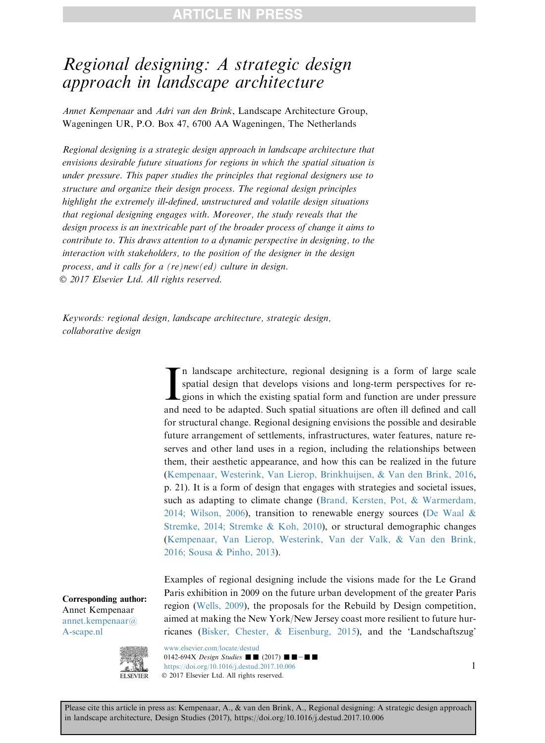## Regional designing: A strategic design approach in landscape architecture

Annet Kempenaar and Adri van den Brink, Landscape Architecture Group, Wageningen UR, P.O. Box 47, 6700 AA Wageningen, The Netherlands

Regional designing is a strategic design approach in landscape architecture that envisions desirable future situations for regions in which the spatial situation is under pressure. This paper studies the principles that regional designers use to structure and organize their design process. The regional design principles highlight the extremely ill-defined, unstructured and volatile design situations that regional designing engages with. Moreover, the study reveals that the design process is an inextricable part of the broader process of change it aims to contribute to. This draws attention to a dynamic perspective in designing, to the interaction with stakeholders, to the position of the designer in the design process, and it calls for a (re)new(ed) culture in design. 2017 Elsevier Ltd. All rights reserved.

Keywords: regional design, landscape architecture, strategic design, collaborative design

> In landscape architecture, regional designing is a form of large scale spatial design that develops visions and long-term perspectives for regions in which the existing spatial form and function are under pressure and need n landscape architecture, regional designing is a form of large scale spatial design that develops visions and long-term perspectives for regions in which the existing spatial form and function are under pressure for structural change. Regional designing envisions the possible and desirable future arrangement of settlements, infrastructures, water features, nature reserves and other land uses in a region, including the relationships between them, their aesthetic appearance, and how this can be realized in the future (Kempenaar, Westerink, Van Lierop, Brinkhuijsen, & Van den Brink, 2016, p. 21). It is a form of design that engages with strategies and societal issues, such as adapting to climate change (Brand, Kersten, Pot, & Warmerdam, 2014; Wilson, 2006), transition to renewable energy sources (De Waal & Stremke, 2014; Stremke & Koh, 2010), or structural demographic changes (Kempenaar, Van Lierop, Westerink, Van der Valk, & Van den Brink, 2016; Sousa & Pinho, 2013).

> Examples of regional designing include the visions made for the Le Grand Paris exhibition in 2009 on the future urban development of the greater Paris region (Wells, 2009), the proposals for the Rebuild by Design competition, aimed at making the New York/New Jersey coast more resilient to future hurricanes (Bisker, Chester, & Eisenburg, 2015), and the 'Landschaftszug'

Corresponding author: Annet Kempenaar [annet.kempenaar@](mailto:annet.kempenaar@A-scape.nl) [A-scape.nl](mailto:annet.kempenaar@A-scape.nl)



[www.elsevier.com/locate/destud](http://www.elsevier.com/locate/destud) 0142-694X Design Studies  $\blacksquare$  (2017)  $\blacksquare$   $\blacksquare$   $$ <https://doi.org/10.1016/j.destud.2017.10.006> 1 2017 Elsevier Ltd. All rights reserved.

Please cite this article in press as: Kempenaar, A., & van den Brink, A., Regional designing: A strategic design approach in landscape architecture, Design Studies (2017), https://doi.org/10.1016/j.destud.2017.10.006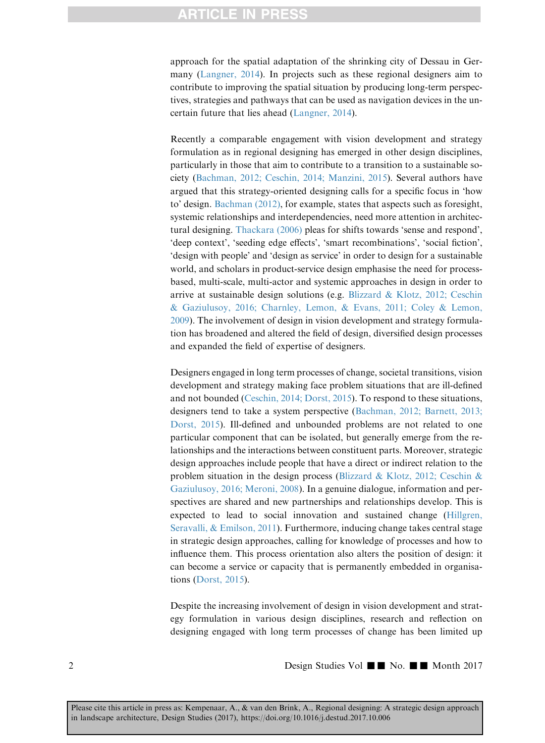## **ARTICLE IN PRESS**

approach for the spatial adaptation of the shrinking city of Dessau in Germany (Langner, 2014). In projects such as these regional designers aim to contribute to improving the spatial situation by producing long-term perspectives, strategies and pathways that can be used as navigation devices in the uncertain future that lies ahead (Langner, 2014).

Recently a comparable engagement with vision development and strategy formulation as in regional designing has emerged in other design disciplines, particularly in those that aim to contribute to a transition to a sustainable society (Bachman, 2012; Ceschin, 2014; Manzini, 2015). Several authors have argued that this strategy-oriented designing calls for a specific focus in 'how to' design. Bachman (2012), for example, states that aspects such as foresight, systemic relationships and interdependencies, need more attention in architectural designing. Thackara (2006) pleas for shifts towards 'sense and respond', 'deep context', 'seeding edge effects', 'smart recombinations', 'social fiction', 'design with people' and 'design as service' in order to design for a sustainable world, and scholars in product-service design emphasise the need for processbased, multi-scale, multi-actor and systemic approaches in design in order to arrive at sustainable design solutions (e.g. Blizzard & Klotz, 2012; Ceschin & Gaziulusoy, 2016; Charnley, Lemon, & Evans, 2011; Coley & Lemon, 2009). The involvement of design in vision development and strategy formulation has broadened and altered the field of design, diversified design processes and expanded the field of expertise of designers.

Designers engaged in long term processes of change, societal transitions, vision development and strategy making face problem situations that are ill-defined and not bounded (Ceschin, 2014; Dorst, 2015). To respond to these situations, designers tend to take a system perspective (Bachman, 2012; Barnett, 2013; Dorst, 2015). Ill-defined and unbounded problems are not related to one particular component that can be isolated, but generally emerge from the relationships and the interactions between constituent parts. Moreover, strategic design approaches include people that have a direct or indirect relation to the problem situation in the design process (Blizzard & Klotz, 2012; Ceschin & Gaziulusoy, 2016; Meroni, 2008). In a genuine dialogue, information and perspectives are shared and new partnerships and relationships develop. This is expected to lead to social innovation and sustained change (Hillgren, Seravalli, & Emilson, 2011). Furthermore, inducing change takes central stage in strategic design approaches, calling for knowledge of processes and how to influence them. This process orientation also alters the position of design: it can become a service or capacity that is permanently embedded in organisations (Dorst, 2015).

Despite the increasing involvement of design in vision development and strategy formulation in various design disciplines, research and reflection on designing engaged with long term processes of change has been limited up

 $2 \qquad \qquad \text{Design Studies Vol} \quad \text{No.} \quad \blacksquare \quad \text{Month 2017}$ 

Please cite this article in press as: Kempenaar, A., & van den Brink, A., Regional designing: A strategic design approach in landscape architecture, Design Studies (2017), https://doi.org/10.1016/j.destud.2017.10.006